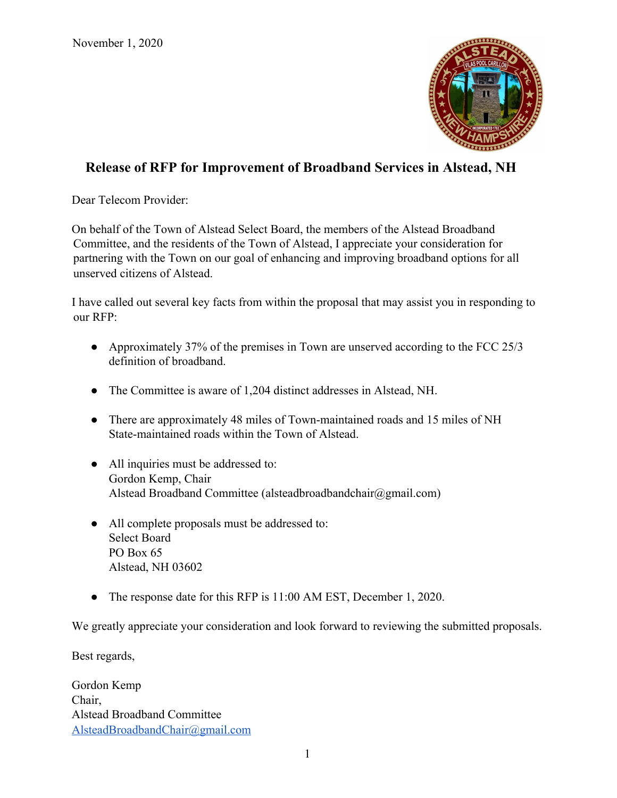

# **Release of RFP for Improvement of Broadband Services in Alstead, NH**

Dear Telecom Provider:

On behalf of the Town of Alstead Select Board, the members of the Alstead Broadband Committee, and the residents of the Town of Alstead, I appreciate your consideration for partnering with the Town on our goal of enhancing and improving broadband options for all unserved citizens of Alstead.

I have called out several key facts from within the proposal that may assist you in responding to our RFP:

- Approximately 37% of the premises in Town are unserved according to the FCC 25/3 definition of broadband.
- The Committee is aware of 1,204 distinct addresses in Alstead, NH.
- There are approximately 48 miles of Town-maintained roads and 15 miles of NH State-maintained roads within the Town of Alstead.
- All inquiries must be addressed to: Gordon Kemp, Chair Alstead Broadband Committee (alsteadbroadbandchair@gmail.com)
- All complete proposals must be addressed to: Select Board PO Box 65 Alstead, NH 03602
- The response date for this RFP is 11:00 AM EST, December 1, 2020.

We greatly appreciate your consideration and look forward to reviewing the submitted proposals.

Best regards,

Gordon Kemp Chair, Alstead Broadband Committee [AlsteadBroadbandChair@gmail.com](mailto:AlsteadBroadbandChair@gmail.com)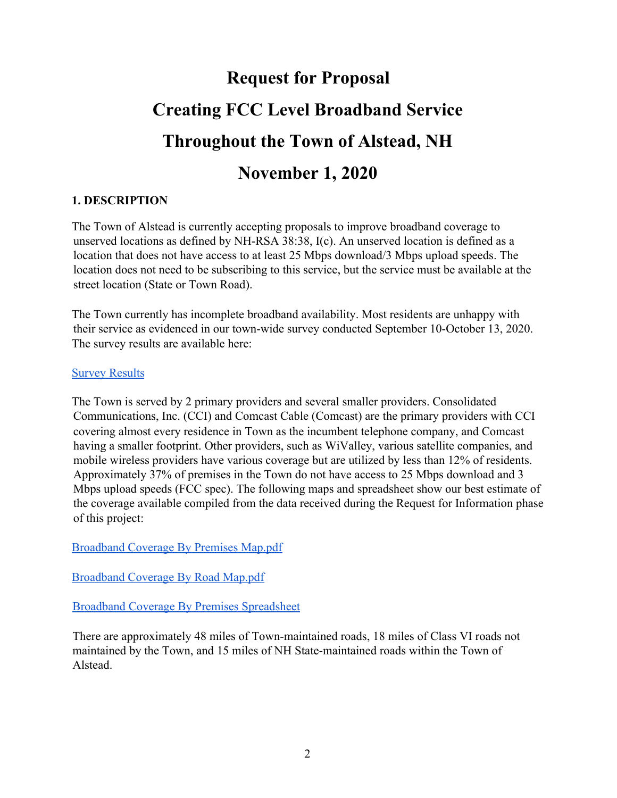# **Request for Proposal Creating FCC Level Broadband Service Throughout the Town of Alstead, NH November 1, 2020**

#### **1. DESCRIPTION**

The Town of Alstead is currently accepting proposals to improve broadband coverage to unserved locations as defined by NH-RSA 38:38, I(c). An unserved location is defined as a location that does not have access to at least 25 Mbps download/3 Mbps upload speeds. The location does not need to be subscribing to this service, but the service must be available at the street location (State or Town Road).

The Town currently has incomplete broadband availability. Most residents are unhappy with their service as evidenced in our town-wide survey conducted September 10-October 13, 2020. The survey results are available here:

#### **[Survey Results](https://docs.google.com/forms/d/e/1FAIpQLSfwHZOWgTTuWzYRNpO4zlGhIOmnYoW02YUs1wh9PglzaDrUhg/viewanalytics)**

The Town is served by 2 primary providers and several smaller providers. Consolidated Communications, Inc. (CCI) and Comcast Cable (Comcast) are the primary providers with CCI covering almost every residence in Town as the incumbent telephone company, and Comcast having a smaller footprint. Other providers, such as WiValley, various satellite companies, and mobile wireless providers have various coverage but are utilized by less than 12% of residents. Approximately 37% of premises in the Town do not have access to 25 Mbps download and 3 Mbps upload speeds (FCC spec). The following maps and spreadsheet show our best estimate of the coverage available compiled from the data received during the Request for Information phase of this project:

[Broadband Coverage By Premises Map.pdf](https://drive.google.com/file/d/1eHmEXw-A5HILF0rA_zk8k4HJZdekr9cN/view?usp=sharing)

[Broadband Coverage By Road Map.pdf](https://drive.google.com/file/d/1STyE6pQAote7BAAKVW75aHMqHclg4mZC/view?usp=sharing)

[Broadband Coverage By Premises Spreadsheet](https://docs.google.com/spreadsheets/d/1tLSzmrKuxfY2aeIrsHsTu6OAxM00jUA6z5eOmRJgdo4/edit?usp=sharing)

There are approximately 48 miles of Town-maintained roads, 18 miles of Class VI roads not maintained by the Town, and 15 miles of NH State-maintained roads within the Town of Alstead.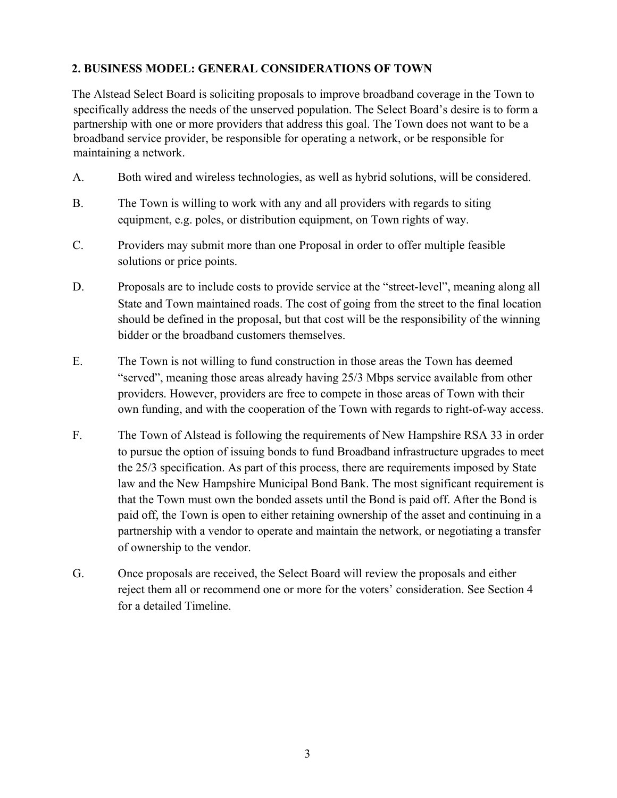# **2. BUSINESS MODEL: GENERAL CONSIDERATIONS OF TOWN**

The Alstead Select Board is soliciting proposals to improve broadband coverage in the Town to specifically address the needs of the unserved population. The Select Board's desire is to form a partnership with one or more providers that address this goal. The Town does not want to be a broadband service provider, be responsible for operating a network, or be responsible for maintaining a network.

- A. Both wired and wireless technologies, as well as hybrid solutions, will be considered.
- B. The Town is willing to work with any and all providers with regards to siting equipment, e.g. poles, or distribution equipment, on Town rights of way.
- C. Providers may submit more than one Proposal in order to offer multiple feasible solutions or price points.
- D. Proposals are to include costs to provide service at the "street-level", meaning along all State and Town maintained roads. The cost of going from the street to the final location should be defined in the proposal, but that cost will be the responsibility of the winning bidder or the broadband customers themselves.
- E. The Town is not willing to fund construction in those areas the Town has deemed "served", meaning those areas already having 25/3 Mbps service available from other providers. However, providers are free to compete in those areas of Town with their own funding, and with the cooperation of the Town with regards to right-of-way access.
- F. The Town of Alstead is following the requirements of New Hampshire RSA 33 in order to pursue the option of issuing bonds to fund Broadband infrastructure upgrades to meet the 25/3 specification. As part of this process, there are requirements imposed by State law and the New Hampshire Municipal Bond Bank. The most significant requirement is that the Town must own the bonded assets until the Bond is paid off. After the Bond is paid off, the Town is open to either retaining ownership of the asset and continuing in a partnership with a vendor to operate and maintain the network, or negotiating a transfer of ownership to the vendor.
- G. Once proposals are received, the Select Board will review the proposals and either reject them all or recommend one or more for the voters' consideration. See Section 4 for a detailed Timeline.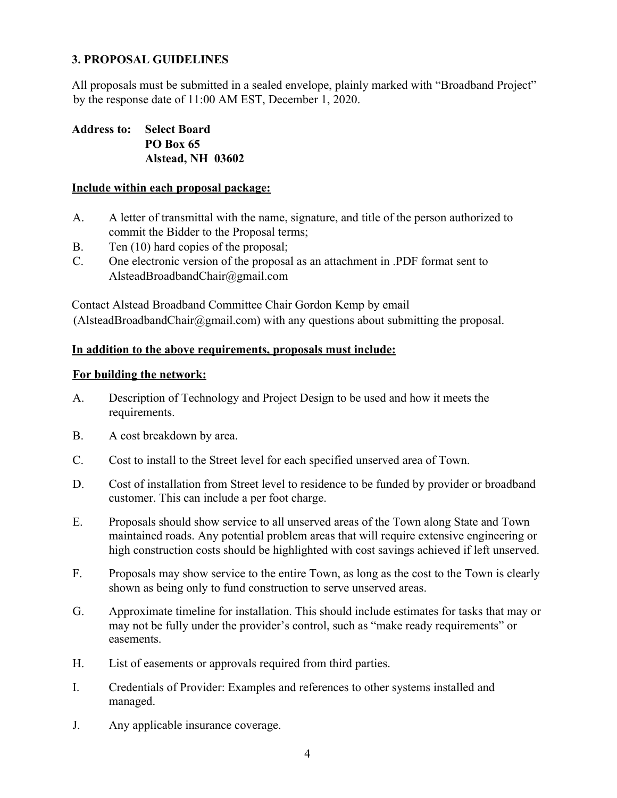# **3. PROPOSAL GUIDELINES**

All proposals must be submitted in a sealed envelope, plainly marked with "Broadband Project" by the response date of 11:00 AM EST, December 1, 2020.

**Address to: Select Board PO Box 65 Alstead, NH 03602**

#### **Include within each proposal package:**

- A. A letter of transmittal with the name, signature, and title of the person authorized to commit the Bidder to the Proposal terms;
- B. Ten (10) hard copies of the proposal;
- C. One electronic version of the proposal as an attachment in .PDF format sent to AlsteadBroadbandChair@gmail.com

Contact Alstead Broadband Committee Chair Gordon Kemp by email  $(A$ lsteadBroadbandChair $@g$ mail.com) with any questions about submitting the proposal.

#### **In addition to the above requirements, proposals must include:**

#### **For building the network:**

- A. Description of Technology and Project Design to be used and how it meets the requirements.
- B. A cost breakdown by area.
- C. Cost to install to the Street level for each specified unserved area of Town.
- D. Cost of installation from Street level to residence to be funded by provider or broadband customer. This can include a per foot charge.
- E. Proposals should show service to all unserved areas of the Town along State and Town maintained roads. Any potential problem areas that will require extensive engineering or high construction costs should be highlighted with cost savings achieved if left unserved.
- F. Proposals may show service to the entire Town, as long as the cost to the Town is clearly shown as being only to fund construction to serve unserved areas.
- G. Approximate timeline for installation. This should include estimates for tasks that may or may not be fully under the provider's control, such as "make ready requirements" or easements.
- H. List of easements or approvals required from third parties.
- I. Credentials of Provider: Examples and references to other systems installed and managed.
- J. Any applicable insurance coverage.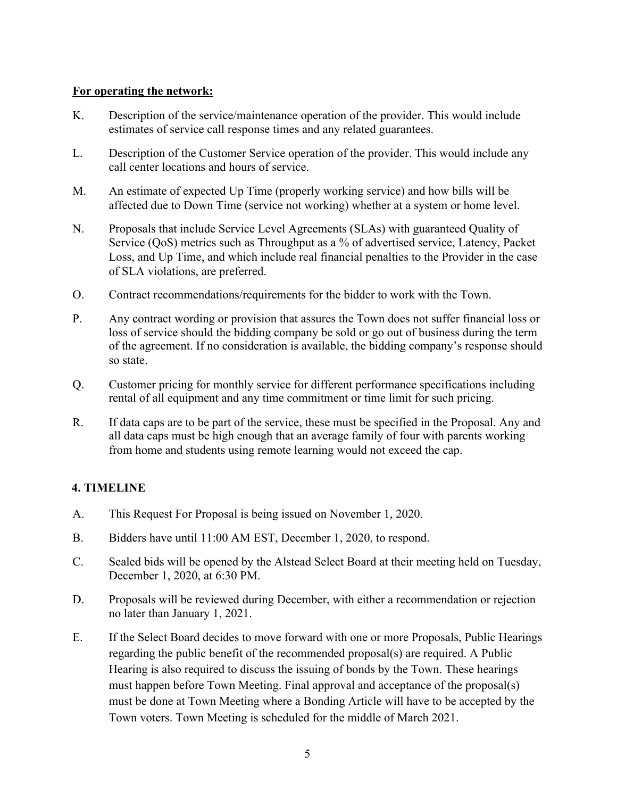#### **For operating the network:**

- K. Description of the service/maintenance operation of the provider. This would include estimates of service call response times and any related guarantees.
- L. Description of the Customer Service operation of the provider. This would include any call center locations and hours of service.
- M. An estimate of expected Up Time (properly working service) and how bills will be affected due to Down Time (service not working) whether at a system or home level.
- N. Proposals that include Service Level Agreements (SLAs) with guaranteed Quality of Service (QoS) metrics such as Throughput as a % of advertised service, Latency, Packet Loss, and Up Time, and which include real financial penalties to the Provider in the case of SLA violations, are preferred.
- O. Contract recommendations/requirements for the bidder to work with the Town.
- P. Any contract wording or provision that assures the Town does not suffer financial loss or loss of service should the bidding company be sold or go out of business during the term of the agreement. If no consideration is available, the bidding company's response should so state.
- Q. Customer pricing for monthly service for different performance specifications including rental of all equipment and any time commitment or time limit for such pricing.
- R. If data caps are to be part of the service, these must be specified in the Proposal. Any and all data caps must be high enough that an average family of four with parents working from home and students using remote learning would not exceed the cap.

#### **4. TIMELINE**

- A. This Request For Proposal is being issued on November 1, 2020.
- B. Bidders have until 11:00 AM EST, December 1, 2020, to respond.
- C. Sealed bids will be opened by the Alstead Select Board at their meeting held on Tuesday, December 1, 2020, at 6:30 PM.
- D. Proposals will be reviewed during December, with either a recommendation or rejection no later than January 1, 2021.
- E. If the Select Board decides to move forward with one or more Proposals, Public Hearings regarding the public benefit of the recommended proposal(s) are required. A Public Hearing is also required to discuss the issuing of bonds by the Town. These hearings must happen before Town Meeting. Final approval and acceptance of the proposal(s) must be done at Town Meeting where a Bonding Article will have to be accepted by the Town voters. Town Meeting is scheduled for the middle of March 2021.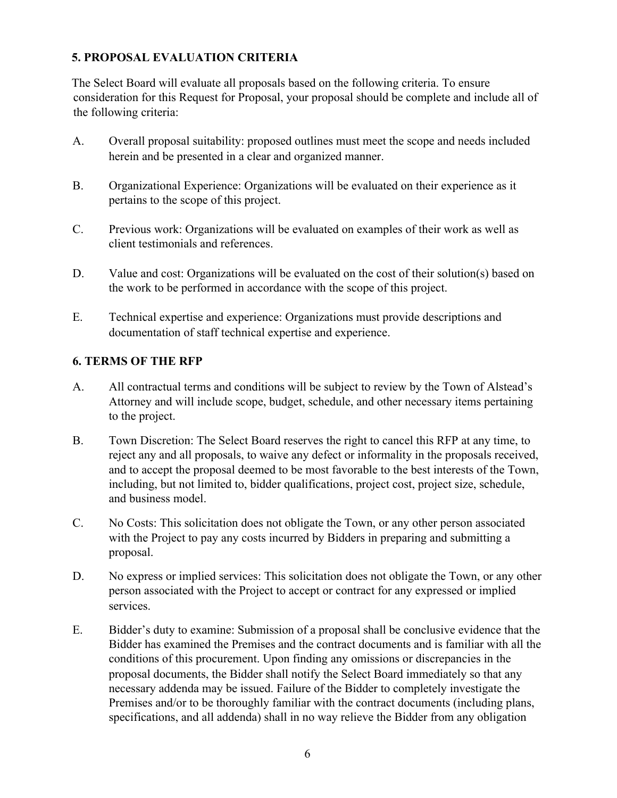# **5. PROPOSAL EVALUATION CRITERIA**

The Select Board will evaluate all proposals based on the following criteria. To ensure consideration for this Request for Proposal, your proposal should be complete and include all of the following criteria:

- A. Overall proposal suitability: proposed outlines must meet the scope and needs included herein and be presented in a clear and organized manner.
- B. Organizational Experience: Organizations will be evaluated on their experience as it pertains to the scope of this project.
- C. Previous work: Organizations will be evaluated on examples of their work as well as client testimonials and references.
- D. Value and cost: Organizations will be evaluated on the cost of their solution(s) based on the work to be performed in accordance with the scope of this project.
- E. Technical expertise and experience: Organizations must provide descriptions and documentation of staff technical expertise and experience.

#### **6. TERMS OF THE RFP**

- A. All contractual terms and conditions will be subject to review by the Town of Alstead's Attorney and will include scope, budget, schedule, and other necessary items pertaining to the project.
- B. Town Discretion: The Select Board reserves the right to cancel this RFP at any time, to reject any and all proposals, to waive any defect or informality in the proposals received, and to accept the proposal deemed to be most favorable to the best interests of the Town, including, but not limited to, bidder qualifications, project cost, project size, schedule, and business model.
- C. No Costs: This solicitation does not obligate the Town, or any other person associated with the Project to pay any costs incurred by Bidders in preparing and submitting a proposal.
- D. No express or implied services: This solicitation does not obligate the Town, or any other person associated with the Project to accept or contract for any expressed or implied services.
- E. Bidder's duty to examine: Submission of a proposal shall be conclusive evidence that the Bidder has examined the Premises and the contract documents and is familiar with all the conditions of this procurement. Upon finding any omissions or discrepancies in the proposal documents, the Bidder shall notify the Select Board immediately so that any necessary addenda may be issued. Failure of the Bidder to completely investigate the Premises and/or to be thoroughly familiar with the contract documents (including plans, specifications, and all addenda) shall in no way relieve the Bidder from any obligation